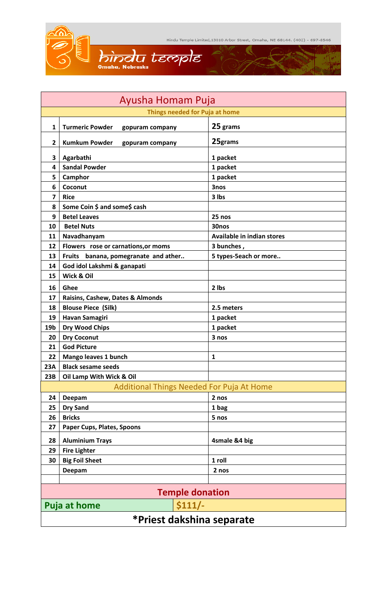Hindu Temple Limited, 13010 Arbor Street, Omaha, NE 68144. (402) - 697-8546 Q.

 $\mathbf{r}^{\prime}$ 



| Ayusha Homam Puja                         |                                           |                                   |  |
|-------------------------------------------|-------------------------------------------|-----------------------------------|--|
| Things needed for Puja at home            |                                           |                                   |  |
| $\mathbf{1}$                              | <b>Turmeric Powder</b><br>gopuram company | 25 grams                          |  |
| $\overline{2}$                            | <b>Kumkum Powder</b><br>gopuram company   | 25grams                           |  |
| 3                                         | Agarbathi                                 | 1 packet                          |  |
| 4                                         | <b>Sandal Powder</b>                      | 1 packet                          |  |
| 5                                         | Camphor                                   | 1 packet                          |  |
| 6                                         | Coconut                                   | 3nos                              |  |
| 7                                         | <b>Rice</b>                               | 3 lbs                             |  |
| 8                                         | Some Coin \$ and some\$ cash              |                                   |  |
| 9                                         | <b>Betel Leaves</b>                       | 25 nos                            |  |
| 10                                        | <b>Betel Nuts</b>                         | 30nos                             |  |
| 11                                        | Navadhanyam                               | <b>Available in indian stores</b> |  |
| 12                                        | Flowers rose or carnations, or moms       | 3 bunches,                        |  |
| 13                                        | Fruits banana, pomegranate and ather      | 5 types-5each or more             |  |
| 14                                        | God idol Lakshmi & ganapati               |                                   |  |
| 15                                        | Wick & Oil                                |                                   |  |
| 16                                        | Ghee                                      | 2 lbs                             |  |
| 17                                        | Raisins, Cashew, Dates & Almonds          |                                   |  |
| 18                                        | <b>Blouse Piece (Silk)</b>                | 2.5 meters                        |  |
| 19                                        | <b>Havan Samagiri</b>                     | 1 packet                          |  |
| 19 <sub>b</sub>                           | <b>Dry Wood Chips</b>                     | 1 packet                          |  |
| 20                                        | <b>Dry Coconut</b>                        | 3 nos                             |  |
| 21                                        | <b>God Picture</b>                        |                                   |  |
| 22                                        | Mango leaves 1 bunch                      | $\mathbf{1}$                      |  |
| 23A                                       | <b>Black sesame seeds</b>                 |                                   |  |
| 23B                                       | Oil Lamp With Wick & Oil                  |                                   |  |
| Additional Things Needed For Puja At Home |                                           |                                   |  |
| 24                                        | Deepam                                    | 2 nos                             |  |
| 25                                        | <b>Dry Sand</b>                           | 1 bag                             |  |
| 26                                        | <b>Bricks</b>                             | 5 nos                             |  |
| 27                                        | Paper Cups, Plates, Spoons                |                                   |  |
| 28                                        | <b>Aluminium Trays</b>                    | 4smale &4 big                     |  |
| 29                                        | <b>Fire Lighter</b>                       |                                   |  |
| 30                                        | <b>Big Foil Sheet</b>                     | 1 roll                            |  |
|                                           | Deepam                                    | 2 nos                             |  |
|                                           |                                           |                                   |  |
| <b>Temple donation</b>                    |                                           |                                   |  |
| \$111/<br><b>Puja at home</b>             |                                           |                                   |  |
| *Priest dakshina separate                 |                                           |                                   |  |